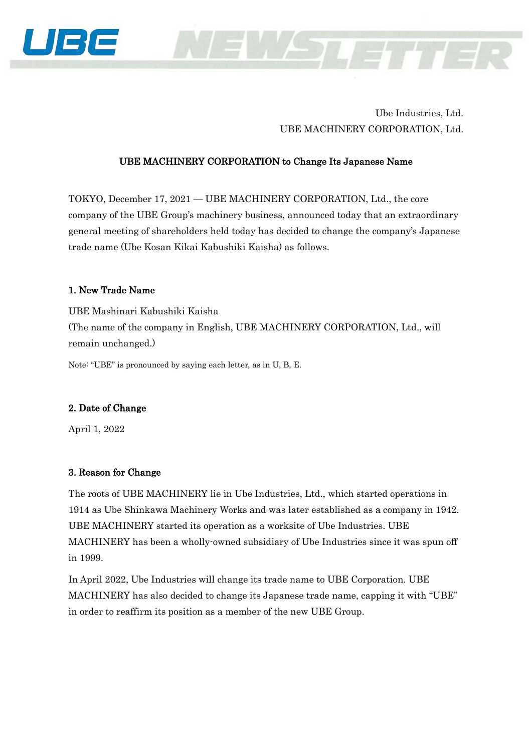

## Ube Industries, Ltd. UBE MACHINERY CORPORATION, Ltd.

### UBE MACHINERY CORPORATION to Change Its Japanese Name

TOKYO, December 17, 2021 — UBE MACHINERY CORPORATION, Ltd., the core company of the UBE Group's machinery business, announced today that an extraordinary general meeting of shareholders held today has decided to change the company's Japanese trade name (Ube Kosan Kikai Kabushiki Kaisha) as follows.

#### 1. New Trade Name

UBE Mashinari Kabushiki Kaisha (The name of the company in English, UBE MACHINERY CORPORATION, Ltd., will remain unchanged.)

Note: "UBE" is pronounced by saying each letter, as in U, B, E.

#### 2. Date of Change

April 1, 2022

#### 3. Reason for Change

The roots of UBE MACHINERY lie in Ube Industries, Ltd., which started operations in 1914 as Ube Shinkawa Machinery Works and was later established as a company in 1942. UBE MACHINERY started its operation as a worksite of Ube Industries. UBE MACHINERY has been a wholly-owned subsidiary of Ube Industries since it was spun off in 1999.

In April 2022, Ube Industries will change its trade name to UBE Corporation. UBE MACHINERY has also decided to change its Japanese trade name, capping it with "UBE" in order to reaffirm its position as a member of the new UBE Group.